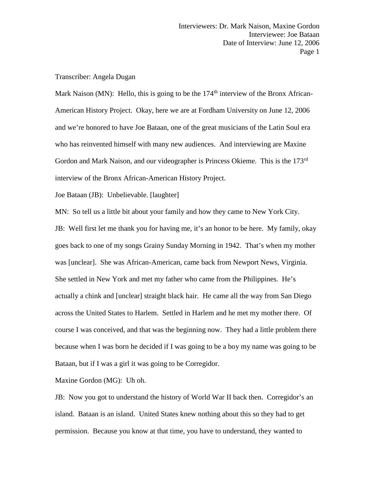Transcriber: Angela Dugan

Mark Naison (MN): Hello, this is going to be the  $174<sup>th</sup>$  interview of the Bronx African-American History Project. Okay, here we are at Fordham University on June 12, 2006 and we're honored to have Joe Bataan, one of the great musicians of the Latin Soul era who has reinvented himself with many new audiences. And interviewing are Maxine Gordon and Mark Naison, and our videographer is Princess Okieme. This is the 173<sup>rd</sup> interview of the Bronx African-American History Project.

Joe Bataan (JB): Unbelievable. [laughter]

MN: So tell us a little bit about your family and how they came to New York City.

JB: Well first let me thank you for having me, it's an honor to be here. My family, okay goes back to one of my songs Grainy Sunday Morning in 1942. That's when my mother was [unclear]. She was African-American, came back from Newport News, Virginia. She settled in New York and met my father who came from the Philippines. He's actually a chink and [unclear] straight black hair. He came all the way from San Diego across the United States to Harlem. Settled in Harlem and he met my mother there. Of course I was conceived, and that was the beginning now. They had a little problem there because when I was born he decided if I was going to be a boy my name was going to be Bataan, but if I was a girl it was going to be Corregidor.

Maxine Gordon (MG): Uh oh.

JB: Now you got to understand the history of World War II back then. Corregidor's an island. Bataan is an island. United States knew nothing about this so they had to get permission. Because you know at that time, you have to understand, they wanted to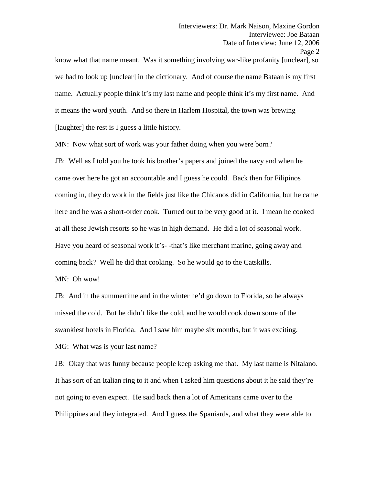know what that name meant. Was it something involving war-like profanity [unclear], so we had to look up [unclear] in the dictionary. And of course the name Bataan is my first name. Actually people think it's my last name and people think it's my first name. And it means the word youth. And so there in Harlem Hospital, the town was brewing [laughter] the rest is I guess a little history.

MN: Now what sort of work was your father doing when you were born?

JB: Well as I told you he took his brother's papers and joined the navy and when he came over here he got an accountable and I guess he could. Back then for Filipinos coming in, they do work in the fields just like the Chicanos did in California, but he came here and he was a short-order cook. Turned out to be very good at it. I mean he cooked at all these Jewish resorts so he was in high demand. He did a lot of seasonal work. Have you heard of seasonal work it's- -that's like merchant marine, going away and coming back? Well he did that cooking. So he would go to the Catskills.

MN: Oh wow!

JB: And in the summertime and in the winter he'd go down to Florida, so he always missed the cold. But he didn't like the cold, and he would cook down some of the swankiest hotels in Florida. And I saw him maybe six months, but it was exciting. MG: What was is your last name?

JB: Okay that was funny because people keep asking me that. My last name is Nitalano. It has sort of an Italian ring to it and when I asked him questions about it he said they're not going to even expect. He said back then a lot of Americans came over to the Philippines and they integrated. And I guess the Spaniards, and what they were able to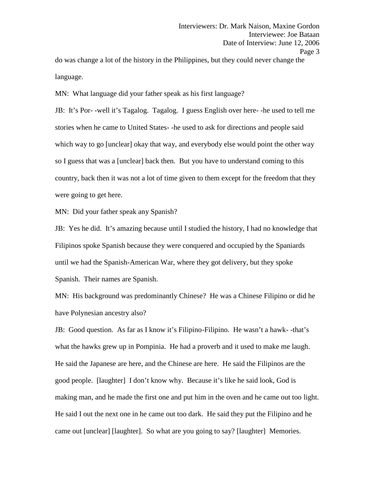do was change a lot of the history in the Philippines, but they could never change the language.

MN: What language did your father speak as his first language?

JB: It's Por- -well it's Tagalog. Tagalog. I guess English over here- -he used to tell me stories when he came to United States- -he used to ask for directions and people said which way to go [unclear] okay that way, and everybody else would point the other way so I guess that was a [unclear] back then. But you have to understand coming to this country, back then it was not a lot of time given to them except for the freedom that they were going to get here.

MN: Did your father speak any Spanish?

JB: Yes he did. It's amazing because until I studied the history, I had no knowledge that Filipinos spoke Spanish because they were conquered and occupied by the Spaniards until we had the Spanish-American War, where they got delivery, but they spoke Spanish. Their names are Spanish.

MN: His background was predominantly Chinese? He was a Chinese Filipino or did he have Polynesian ancestry also?

JB: Good question. As far as I know it's Filipino-Filipino. He wasn't a hawk- -that's what the hawks grew up in Pompinia. He had a proverb and it used to make me laugh. He said the Japanese are here, and the Chinese are here. He said the Filipinos are the good people. [laughter] I don't know why. Because it's like he said look, God is making man, and he made the first one and put him in the oven and he came out too light. He said I out the next one in he came out too dark. He said they put the Filipino and he came out [unclear] [laughter]. So what are you going to say? [laughter] Memories.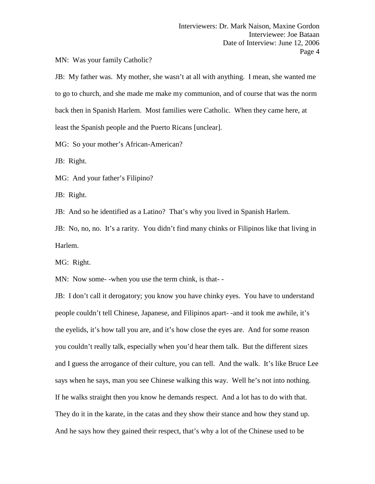MN: Was your family Catholic?

JB: My father was. My mother, she wasn't at all with anything. I mean, she wanted me to go to church, and she made me make my communion, and of course that was the norm back then in Spanish Harlem. Most families were Catholic. When they came here, at least the Spanish people and the Puerto Ricans [unclear].

MG: So your mother's African-American?

JB: Right.

MG: And your father's Filipino?

JB: Right.

JB: And so he identified as a Latino? That's why you lived in Spanish Harlem.

JB: No, no, no. It's a rarity. You didn't find many chinks or Filipinos like that living in Harlem.

MG: Right.

MN: Now some- -when you use the term chink, is that- -

JB: I don't call it derogatory; you know you have chinky eyes. You have to understand people couldn't tell Chinese, Japanese, and Filipinos apart- -and it took me awhile, it's the eyelids, it's how tall you are, and it's how close the eyes are. And for some reason you couldn't really talk, especially when you'd hear them talk. But the different sizes and I guess the arrogance of their culture, you can tell. And the walk. It's like Bruce Lee says when he says, man you see Chinese walking this way. Well he's not into nothing. If he walks straight then you know he demands respect. And a lot has to do with that. They do it in the karate, in the catas and they show their stance and how they stand up. And he says how they gained their respect, that's why a lot of the Chinese used to be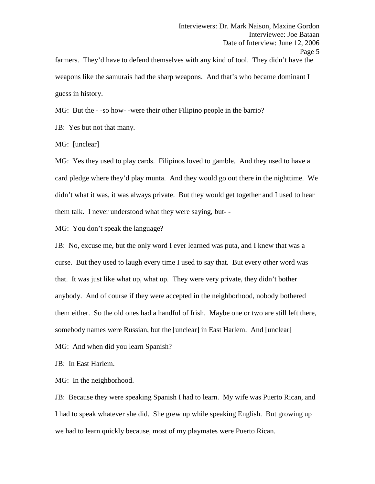weapons like the samurais had the sharp weapons. And that's who became dominant I guess in history.

MG: But the - -so how- -were their other Filipino people in the barrio?

JB: Yes but not that many.

MG: [unclear]

MG: Yes they used to play cards. Filipinos loved to gamble. And they used to have a card pledge where they'd play munta. And they would go out there in the nighttime. We didn't what it was, it was always private. But they would get together and I used to hear them talk. I never understood what they were saying, but- -

MG: You don't speak the language?

JB: No, excuse me, but the only word I ever learned was puta, and I knew that was a curse. But they used to laugh every time I used to say that. But every other word was that. It was just like what up, what up. They were very private, they didn't bother anybody. And of course if they were accepted in the neighborhood, nobody bothered them either. So the old ones had a handful of Irish. Maybe one or two are still left there, somebody names were Russian, but the [unclear] in East Harlem. And [unclear]

MG: And when did you learn Spanish?

JB: In East Harlem.

MG: In the neighborhood.

JB: Because they were speaking Spanish I had to learn. My wife was Puerto Rican, and I had to speak whatever she did. She grew up while speaking English. But growing up we had to learn quickly because, most of my playmates were Puerto Rican.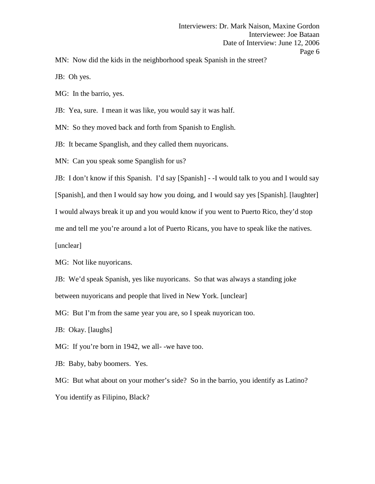MN: Now did the kids in the neighborhood speak Spanish in the street?

JB: Oh yes.

MG: In the barrio, yes.

JB: Yea, sure. I mean it was like, you would say it was half.

MN: So they moved back and forth from Spanish to English.

JB: It became Spanglish, and they called them nuyoricans.

MN: Can you speak some Spanglish for us?

JB: I don't know if this Spanish. I'd say [Spanish] - -I would talk to you and I would say [Spanish], and then I would say how you doing, and I would say yes [Spanish]. [laughter] I would always break it up and you would know if you went to Puerto Rico, they'd stop me and tell me you're around a lot of Puerto Ricans, you have to speak like the natives. [unclear]

MG: Not like nuyoricans.

JB: We'd speak Spanish, yes like nuyoricans. So that was always a standing joke between nuyoricans and people that lived in New York. [unclear]

MG: But I'm from the same year you are, so I speak nuyorican too.

JB: Okay. [laughs]

MG: If you're born in 1942, we all- -we have too.

JB: Baby, baby boomers. Yes.

MG: But what about on your mother's side? So in the barrio, you identify as Latino? You identify as Filipino, Black?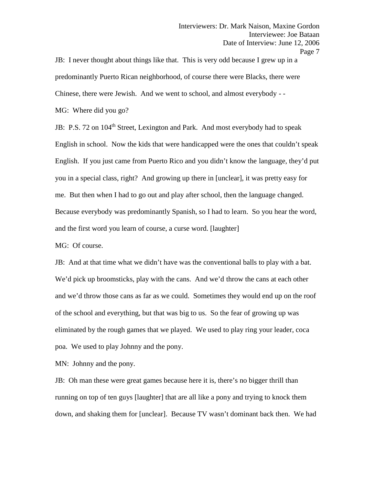JB: I never thought about things like that. This is very odd because I grew up in a predominantly Puerto Rican neighborhood, of course there were Blacks, there were Chinese, there were Jewish. And we went to school, and almost everybody - -<br>MG: Where did you go?

JB: P.S. 72 on 104<sup>th</sup> Street, Lexington and Park. And most everybody had to speak English in school. Now the kids that were handicapped were the ones that couldn't speak English. If you just came from Puerto Rico and you didn't know the language, they'd put you in a special class, right? And growing up there in [unclear], it was pretty easy for me. But then when I had to go out and play after school, then the language changed. Because everybody was predominantly Spanish, so I had to learn. So you hear the word, and the first word you learn of course, a curse word. [laughter]

MG: Of course.

JB: And at that time what we didn't have was the conventional balls to play with a bat. We'd pick up broomsticks, play with the cans. And we'd throw the cans at each other and we'd throw those cans as far as we could. Sometimes they would end up on the roof of the school and everything, but that was big to us. So the fear of growing up was eliminated by the rough games that we played. We used to play ring your leader, coca poa. We used to play Johnny and the pony.

MN: Johnny and the pony.

JB: Oh man these were great games because here it is, there's no bigger thrill than running on top of ten guys [laughter] that are all like a pony and trying to knock them down, and shaking them for [unclear]. Because TV wasn't dominant back then. We had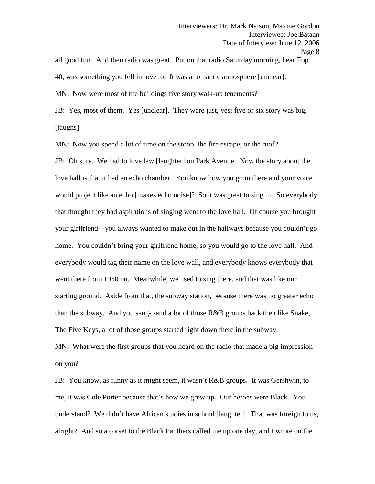all good fun. And then radio was great. Put on that radio Saturday morning, hear Top 40, was something you fell in love to. It was a romantic atmosphere [unclear]. MN: Now were most of the buildings five story walk-up tenements?

JB: Yes, most of them. Yes [unclear]. They were just, yes; five or six story was big. [laughs].

MN: Now you spend a lot of time on the stoop, the fire escape, or the roof? JB: Oh sure. We had to love law [laughter] on Park Avenue. Now the story about the love hall is that it had an echo chamber. You know how you go in there and your voice would project like an echo [makes echo noise]? So it was great to sing in. So everybody that thought they had aspirations of singing went to the love hall. Of course you brought your girlfriend- -you always wanted to make out in the hallways because you couldn't go home. You couldn't bring your girlfriend home, so you would go to the love hall. And everybody would tag their name on the love wall, and everybody knows everybody that went there from 1950 on. Meanwhile, we used to sing there, and that was like our starting ground. Aside from that, the subway station, because there was no greater echo than the subway. And you sang- -and a lot of those R&B groups back then like Snake, The Five Keys, a lot of those groups started right down there in the subway. MN: What were the first groups that you heard on the radio that made a big impression on you?

JB: You know, as funny as it might seem, it wasn't R&B groups. It was Gershwin, to me, it was Cole Porter because that's how we grew up. Our heroes were Black. You understand? We didn't have African studies in school [laughter]. That was foreign to us, alright? And so a corset to the Black Panthers called me up one day, and I wrote on the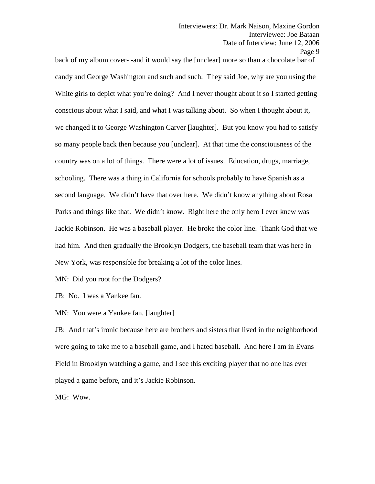back of my album cover- -and it would say the [unclear] more so than a chocolate bar of candy and George Washington and such and such. They said Joe, why are you using the White girls to depict what you're doing? And I never thought about it so I started getting conscious about what I said, and what I was talking about. So when I thought about it, we changed it to George Washington Carver [laughter]. But you know you had to satisfy so many people back then because you [unclear]. At that time the consciousness of the country was on a lot of things. There were a lot of issues. Education, drugs, marriage, schooling. There was a thing in California for schools probably to have Spanish as a second language. We didn't have that over here. We didn't know anything about Rosa Parks and things like that. We didn't know. Right here the only hero I ever knew was Jackie Robinson. He was a baseball player. He broke the color line. Thank God that we had him. And then gradually the Brooklyn Dodgers, the baseball team that was here in New York, was responsible for breaking a lot of the color lines.

MN: Did you root for the Dodgers?

JB: No. I was a Yankee fan.

MN: You were a Yankee fan. [laughter]

JB: And that's ironic because here are brothers and sisters that lived in the neighborhood were going to take me to a baseball game, and I hated baseball. And here I am in Evans Field in Brooklyn watching a game, and I see this exciting player that no one has ever played a game before, and it's Jackie Robinson.

MG: Wow.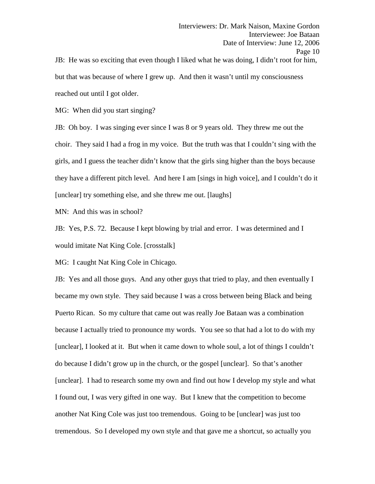but that was because of where I grew up. And then it wasn't until my consciousness reached out until I got older.

MG: When did you start singing?

JB: Oh boy. I was singing ever since I was 8 or 9 years old. They threw me out the choir. They said I had a frog in my voice. But the truth was that I couldn't sing with the girls, and I guess the teacher didn't know that the girls sing higher than the boys because they have a different pitch level. And here I am [sings in high voice], and I couldn't do it [unclear] try something else, and she threw me out. [laughs]

MN: And this was in school?

JB: Yes, P.S. 72. Because I kept blowing by trial and error. I was determined and I would imitate Nat King Cole. [crosstalk]

MG: I caught Nat King Cole in Chicago.

JB: Yes and all those guys. And any other guys that tried to play, and then eventually I became my own style. They said because I was a cross between being Black and being Puerto Rican. So my culture that came out was really Joe Bataan was a combination because I actually tried to pronounce my words. You see so that had a lot to do with my [unclear], I looked at it. But when it came down to whole soul, a lot of things I couldn't do because I didn't grow up in the church, or the gospel [unclear]. So that's another [unclear]. I had to research some my own and find out how I develop my style and what I found out, I was very gifted in one way. But I knew that the competition to become another Nat King Cole was just too tremendous. Going to be [unclear] was just too tremendous. So I developed my own style and that gave me a shortcut, so actually you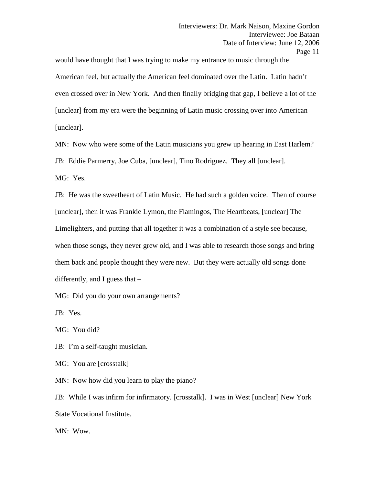would have thought that I was trying to make my entrance to music through the American feel, but actually the American feel dominated over the Latin. Latin hadn't even crossed over in New York. And then finally bridging that gap, I believe a lot of the [unclear] from my era were the beginning of Latin music crossing over into American [unclear].

MN: Now who were some of the Latin musicians you grew up hearing in East Harlem? JB: Eddie Parmerry, Joe Cuba, [unclear], Tino Rodriguez. They all [unclear]. MG: Yes.

JB: He was the sweetheart of Latin Music. He had such a golden voice. Then of course [unclear], then it was Frankie Lymon, the Flamingos, The Heartbeats, [unclear] The Limelighters, and putting that all together it was a combination of a style see because, when those songs, they never grew old, and I was able to research those songs and bring them back and people thought they were new. But they were actually old songs done differently, and I guess that –

MG: Did you do your own arrangements?

JB: Yes.

MG: You did?

JB: I'm a self-taught musician.

MG: You are [crosstalk]

MN: Now how did you learn to play the piano?

JB: While I was infirm for infirmatory. [crosstalk]. I was in West [unclear] New York State Vocational Institute.

MN: Wow.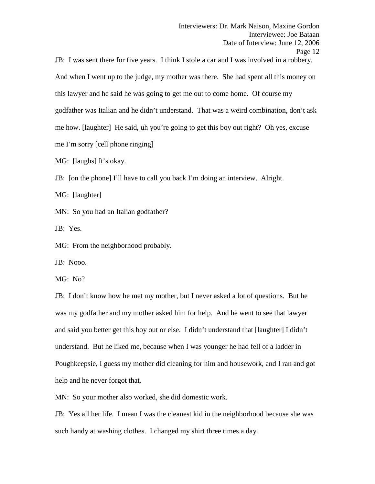JB: I was sent there for five years. I think I stole a car and I was involved in a robbery. And when I went up to the judge, my mother was there. She had spent all this money on this lawyer and he said he was going to get me out to come home. Of course my godfather was Italian and he didn't understand. That was a weird combination, don't ask me how. [laughter] He said, uh you're going to get this boy out right? Oh yes, excuse me I'm sorry [cell phone ringing]

MG: [laughs] It's okay.

JB: [on the phone] I'll have to call you back I'm doing an interview. Alright.

MG: [laughter]

MN: So you had an Italian godfather?

JB: Yes.

MG: From the neighborhood probably.

JB: Nooo.

MG: No?

JB: I don't know how he met my mother, but I never asked a lot of questions. But he was my godfather and my mother asked him for help. And he went to see that lawyer and said you better get this boy out or else. I didn't understand that [laughter] I didn't understand. But he liked me, because when I was younger he had fell of a ladder in Poughkeepsie, I guess my mother did cleaning for him and housework, and I ran and got help and he never forgot that.

MN: So your mother also worked, she did domestic work.

JB: Yes all her life. I mean I was the cleanest kid in the neighborhood because she was such handy at washing clothes. I changed my shirt three times a day.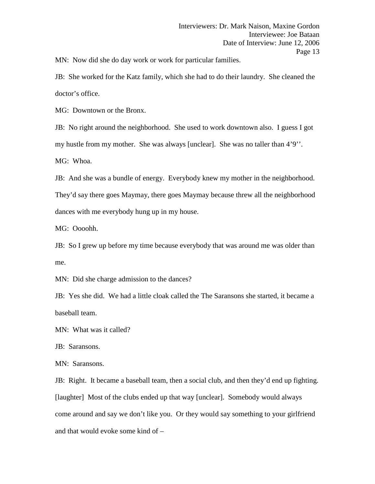MN: Now did she do day work or work for particular families.

JB: She worked for the Katz family, which she had to do their laundry. She cleaned the doctor's office.

MG: Downtown or the Bronx.

JB: No right around the neighborhood. She used to work downtown also. I guess I got my hustle from my mother. She was always [unclear]. She was no taller than 4'9''. MG: Whoa.

JB: And she was a bundle of energy. Everybody knew my mother in the neighborhood. They'd say there goes Maymay, there goes Maymay because threw all the neighborhood dances with me everybody hung up in my house.

MG: Oooohh.

JB: So I grew up before my time because everybody that was around me was older than me.

MN: Did she charge admission to the dances?

JB: Yes she did. We had a little cloak called the The Saransons she started, it became a baseball team.

MN: What was it called?

JB: Saransons.

MN: Saransons.

JB: Right. It became a baseball team, then a social club, and then they'd end up fighting. [laughter] Most of the clubs ended up that way [unclear]. Somebody would always come around and say we don't like you. Or they would say something to your girlfriend and that would evoke some kind of –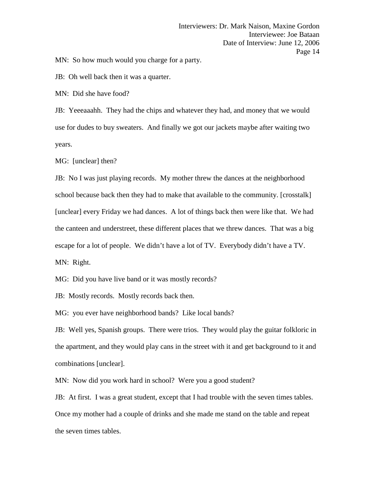MN: So how much would you charge for a party.

JB: Oh well back then it was a quarter.

MN: Did she have food?

JB: Yeeeaaahh. They had the chips and whatever they had, and money that we would use for dudes to buy sweaters. And finally we got our jackets maybe after waiting two years.

MG: [unclear] then?

JB: No I was just playing records. My mother threw the dances at the neighborhood school because back then they had to make that available to the community. [crosstalk] [unclear] every Friday we had dances. A lot of things back then were like that. We had the canteen and understreet, these different places that we threw dances. That was a big escape for a lot of people. We didn't have a lot of TV. Everybody didn't have a TV. MN: Right.

MG: Did you have live band or it was mostly records?

JB: Mostly records. Mostly records back then.

MG: you ever have neighborhood bands? Like local bands?

JB: Well yes, Spanish groups. There were trios. They would play the guitar folkloric in the apartment, and they would play cans in the street with it and get background to it and combinations [unclear].

MN: Now did you work hard in school? Were you a good student?

JB: At first. I was a great student, except that I had trouble with the seven times tables. Once my mother had a couple of drinks and she made me stand on the table and repeat the seven times tables.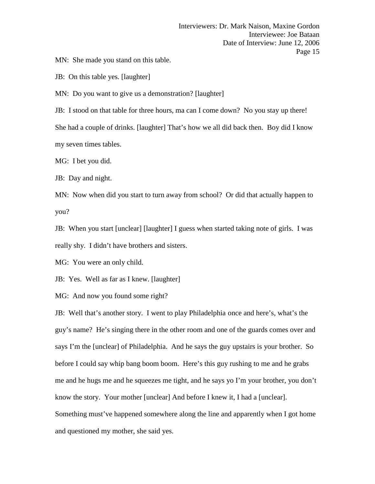MN: She made you stand on this table.

JB: On this table yes. [laughter]

MN: Do you want to give us a demonstration? [laughter]

JB: I stood on that table for three hours, ma can I come down? No you stay up there!

She had a couple of drinks. [laughter] That's how we all did back then. Boy did I know my seven times tables.

MG: I bet you did.

JB: Day and night.

MN: Now when did you start to turn away from school? Or did that actually happen to you?

JB: When you start [unclear] [laughter] I guess when started taking note of girls. I was really shy. I didn't have brothers and sisters.

MG: You were an only child.

JB: Yes. Well as far as I knew. [laughter]

MG: And now you found some right?

JB: Well that's another story. I went to play Philadelphia once and here's, what's the guy's name? He's singing there in the other room and one of the guards comes over and says I'm the [unclear] of Philadelphia. And he says the guy upstairs is your brother. So before I could say whip bang boom boom. Here's this guy rushing to me and he grabs me and he hugs me and he squeezes me tight, and he says yo I'm your brother, you don't know the story. Your mother [unclear] And before I knew it, I had a [unclear]. Something must've happened somewhere along the line and apparently when I got home and questioned my mother, she said yes.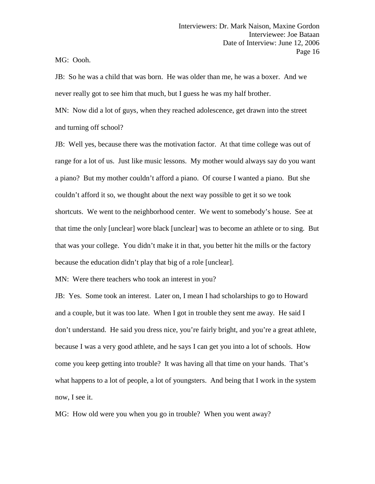MG: Oooh.

JB: So he was a child that was born. He was older than me, he was a boxer. And we never really got to see him that much, but I guess he was my half brother.

MN: Now did a lot of guys, when they reached adolescence, get drawn into the street and turning off school?

JB: Well yes, because there was the motivation factor. At that time college was out of range for a lot of us. Just like music lessons. My mother would always say do you want a piano? But my mother couldn't afford a piano. Of course I wanted a piano. But she couldn't afford it so, we thought about the next way possible to get it so we took shortcuts. We went to the neighborhood center. We went to somebody's house. See at that time the only [unclear] wore black [unclear] was to become an athlete or to sing. But that was your college. You didn't make it in that, you better hit the mills or the factory because the education didn't play that big of a role [unclear].

MN: Were there teachers who took an interest in you?

JB: Yes. Some took an interest. Later on, I mean I had scholarships to go to Howard and a couple, but it was too late. When I got in trouble they sent me away. He said I don't understand. He said you dress nice, you're fairly bright, and you're a great athlete, because I was a very good athlete, and he says I can get you into a lot of schools. How come you keep getting into trouble? It was having all that time on your hands. That's what happens to a lot of people, a lot of youngsters. And being that I work in the system now, I see it.

MG: How old were you when you go in trouble? When you went away?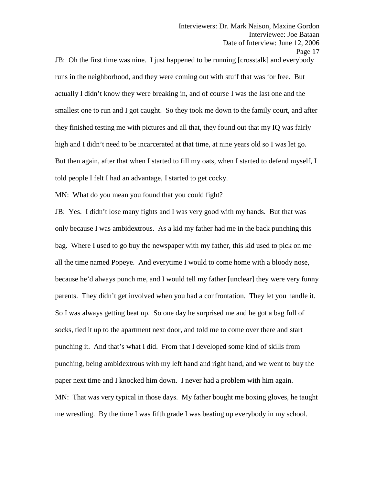JB: Oh the first time was nine. I just happened to be running [crosstalk] and everybody runs in the neighborhood, and they were coming out with stuff that was for free. But actually I didn't know they were breaking in, and of course I was the last one and the smallest one to run and I got caught. So they took me down to the family court, and after they finished testing me with pictures and all that, they found out that my IQ was fairly high and I didn't need to be incarcerated at that time, at nine years old so I was let go. But then again, after that when I started to fill my oats, when I started to defend myself, I told people I felt I had an advantage, I started to get cocky.

MN: What do you mean you found that you could fight?

JB: Yes. I didn't lose many fights and I was very good with my hands. But that was only because I was ambidextrous. As a kid my father had me in the back punching this bag. Where I used to go buy the newspaper with my father, this kid used to pick on me all the time named Popeye. And everytime I would to come home with a bloody nose, because he'd always punch me, and I would tell my father [unclear] they were very funny parents. They didn't get involved when you had a confrontation. They let you handle it. So I was always getting beat up. So one day he surprised me and he got a bag full of socks, tied it up to the apartment next door, and told me to come over there and start punching it. And that's what I did. From that I developed some kind of skills from punching, being ambidextrous with my left hand and right hand, and we went to buy the paper next time and I knocked him down. I never had a problem with him again. MN: That was very typical in those days. My father bought me boxing gloves, he taught me wrestling. By the time I was fifth grade I was beating up everybody in my school.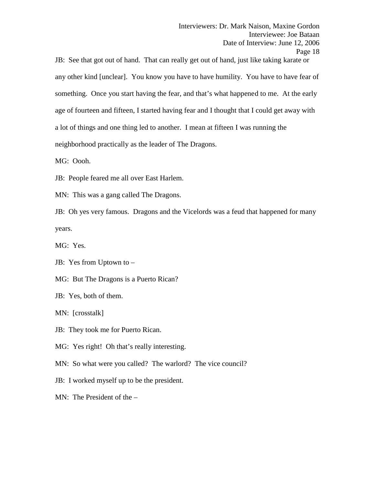JB: See that got out of hand. That can really get out of hand, just like taking karate or any other kind [unclear]. You know you have to have humility. You have to have fear of something. Once you start having the fear, and that's what happened to me. At the early age of fourteen and fifteen, I started having fear and I thought that I could get away with a lot of things and one thing led to another. I mean at fifteen I was running the neighborhood practically as the leader of The Dragons.

MG: Oooh.

JB: People feared me all over East Harlem.

MN: This was a gang called The Dragons.

JB: Oh yes very famous. Dragons and the Vicelords was a feud that happened for many years.

MG: Yes.

JB: Yes from Uptown to –

MG: But The Dragons is a Puerto Rican?

JB: Yes, both of them.

MN: [crosstalk]

JB: They took me for Puerto Rican.

MG: Yes right! Oh that's really interesting.

MN: So what were you called? The warlord? The vice council?

JB: I worked myself up to be the president.

MN: The President of the –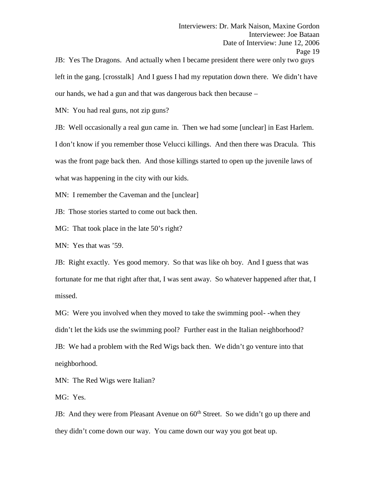JB: Yes The Dragons. And actually when I became president there were only two guys left in the gang. [crosstalk] And I guess I had my reputation down there. We didn't have our hands, we had a gun and that was dangerous back then because –

MN: You had real guns, not zip guns?

JB: Well occasionally a real gun came in. Then we had some [unclear] in East Harlem. I don't know if you remember those Velucci killings. And then there was Dracula. This was the front page back then. And those killings started to open up the juvenile laws of what was happening in the city with our kids.

MN: I remember the Caveman and the [unclear]

JB: Those stories started to come out back then.

MG: That took place in the late 50's right?

MN: Yes that was '59.

JB: Right exactly. Yes good memory. So that was like oh boy. And I guess that was fortunate for me that right after that, I was sent away. So whatever happened after that, I missed.

MG: Were you involved when they moved to take the swimming pool- -when they didn't let the kids use the swimming pool? Further east in the Italian neighborhood? JB: We had a problem with the Red Wigs back then. We didn't go venture into that neighborhood.

MN: The Red Wigs were Italian?

MG: Yes.

JB: And they were from Pleasant Avenue on  $60<sup>th</sup>$  Street. So we didn't go up there and they didn't come down our way. You came down our way you got beat up.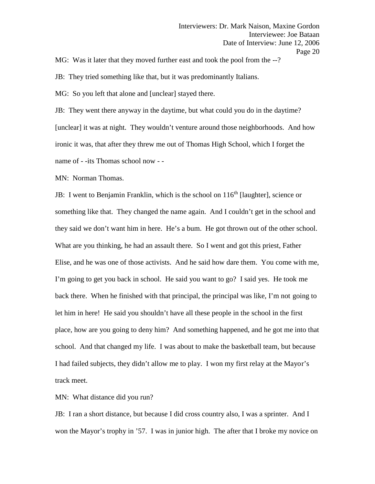MG: Was it later that they moved further east and took the pool from the --?

JB: They tried something like that, but it was predominantly Italians.

MG: So you left that alone and [unclear] stayed there.

JB: They went there anyway in the daytime, but what could you do in the daytime? [unclear] it was at night. They wouldn't venture around those neighborhoods. And how ironic it was, that after they threw me out of Thomas High School, which I forget the name of - -its Thomas school now - -

MN: Norman Thomas.

JB: I went to Benjamin Franklin, which is the school on  $116<sup>th</sup>$  [laughter], science or something like that. They changed the name again. And I couldn't get in the school and they said we don't want him in here. He's a bum. He got thrown out of the other school. What are you thinking, he had an assault there. So I went and got this priest, Father Elise, and he was one of those activists. And he said how dare them. You come with me, I'm going to get you back in school. He said you want to go? I said yes. He took me back there. When he finished with that principal, the principal was like, I'm not going to let him in here! He said you shouldn't have all these people in the school in the first place, how are you going to deny him? And something happened, and he got me into that school. And that changed my life. I was about to make the basketball team, but because I had failed subjects, they didn't allow me to play. I won my first relay at the Mayor's track meet.

MN: What distance did you run?

JB: I ran a short distance, but because I did cross country also, I was a sprinter. And I won the Mayor's trophy in '57. I was in junior high. The after that I broke my novice on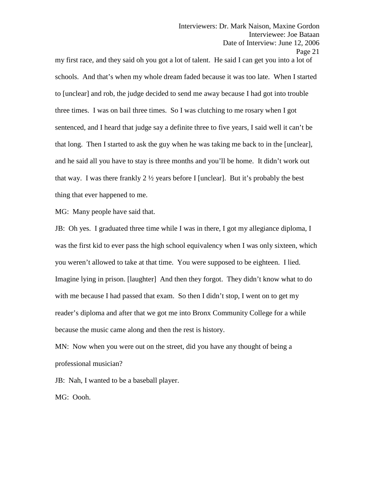my first race, and they said oh you got a lot of talent. He said I can get you into a lot of schools. And that's when my whole dream faded because it was too late. When I started to [unclear] and rob, the judge decided to send me away because I had got into trouble three times. I was on bail three times. So I was clutching to me rosary when I got sentenced, and I heard that judge say a definite three to five years, I said well it can't be that long. Then I started to ask the guy when he was taking me back to in the [unclear], and he said all you have to stay is three months and you'll be home. It didn't work out that way. I was there frankly  $2 \frac{1}{2}$  years before I [unclear]. But it's probably the best thing that ever happened to me.

MG: Many people have said that.

JB: Oh yes. I graduated three time while I was in there, I got my allegiance diploma, I was the first kid to ever pass the high school equivalency when I was only sixteen, which you weren't allowed to take at that time. You were supposed to be eighteen. I lied. Imagine lying in prison. [laughter] And then they forgot. They didn't know what to do with me because I had passed that exam. So then I didn't stop, I went on to get my reader's diploma and after that we got me into Bronx Community College for a while because the music came along and then the rest is history.

MN: Now when you were out on the street, did you have any thought of being a professional musician?

JB: Nah, I wanted to be a baseball player.

MG: Oooh.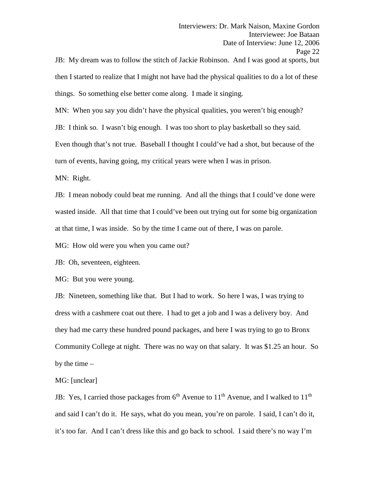JB: My dream was to follow the stitch of Jackie Robinson. And I was good at sports, but then I started to realize that I might not have had the physical qualities to do a lot of these things. So something else better come along. I made it singing.

MN: When you say you didn't have the physical qualities, you weren't big enough?

JB: I think so. I wasn't big enough. I was too short to play basketball so they said.

Even though that's not true. Baseball I thought I could've had a shot, but because of the

turn of events, having going, my critical years were when I was in prison.

MN: Right.

JB: I mean nobody could beat me running. And all the things that I could've done were wasted inside. All that time that I could've been out trying out for some big organization at that time, I was inside. So by the time I came out of there, I was on parole.

MG: How old were you when you came out?

JB: Oh, seventeen, eighteen.

MG: But you were young.

JB: Nineteen, something like that. But I had to work. So here I was, I was trying to dress with a cashmere coat out there. I had to get a job and I was a delivery boy. And they had me carry these hundred pound packages, and here I was trying to go to Bronx Community College at night. There was no way on that salary. It was \$1.25 an hour. So by the time  $-$ 

# MG: [unclear]

JB: Yes, I carried those packages from  $6<sup>th</sup>$  Avenue to  $11<sup>th</sup>$  Avenue, and I walked to  $11<sup>th</sup>$ and said I can't do it. He says, what do you mean, you're on parole. I said, I can't do it, it's too far. And I can't dress like this and go back to school. I said there's no way I'm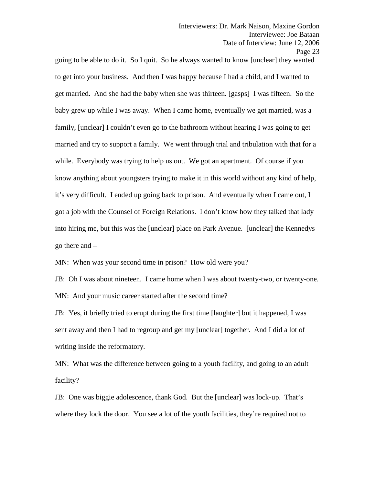going to be able to do it. So I quit. So he always wanted to know [unclear] they wanted to get into your business. And then I was happy because I had a child, and I wanted to get married. And she had the baby when she was thirteen. [gasps] I was fifteen. So the baby grew up while I was away. When I came home, eventually we got married, was a family, [unclear] I couldn't even go to the bathroom without hearing I was going to get married and try to support a family. We went through trial and tribulation with that for a while. Everybody was trying to help us out. We got an apartment. Of course if you know anything about youngsters trying to make it in this world without any kind of help, it's very difficult. I ended up going back to prison. And eventually when I came out, I got a job with the Counsel of Foreign Relations. I don't know how they talked that lady into hiring me, but this was the [unclear] place on Park Avenue. [unclear] the Kennedys go there and –

MN: When was your second time in prison? How old were you?

JB: Oh I was about nineteen. I came home when I was about twenty-two, or twenty-one. MN: And your music career started after the second time?

JB: Yes, it briefly tried to erupt during the first time [laughter] but it happened, I was sent away and then I had to regroup and get my [unclear] together. And I did a lot of writing inside the reformatory.

MN: What was the difference between going to a youth facility, and going to an adult facility?

JB: One was biggie adolescence, thank God. But the [unclear] was lock-up. That's where they lock the door. You see a lot of the youth facilities, they're required not to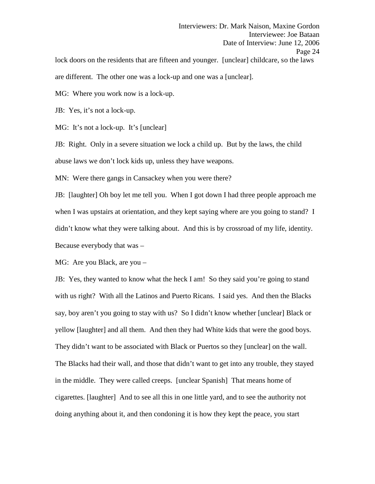Interviewers: Dr. Mark Naison, Maxine Gordon Interviewee: Joe Bataan Date of Interview: June 12, 2006 Page 24 lock doors on the residents that are fifteen and younger. [unclear] childcare, so the laws

are different. The other one was a lock-up and one was a [unclear].

MG: Where you work now is a lock-up.

JB: Yes, it's not a lock-up.

MG: It's not a lock-up. It's [unclear]

JB: Right. Only in a severe situation we lock a child up. But by the laws, the child abuse laws we don't lock kids up, unless they have weapons.

MN: Were there gangs in Cansackey when you were there?

JB: [laughter] Oh boy let me tell you. When I got down I had three people approach me when I was upstairs at orientation, and they kept saying where are you going to stand? I didn't know what they were talking about. And this is by crossroad of my life, identity. Because everybody that was –

MG: Are you Black, are you –

JB: Yes, they wanted to know what the heck I am! So they said you're going to stand with us right? With all the Latinos and Puerto Ricans. I said yes. And then the Blacks say, boy aren't you going to stay with us? So I didn't know whether [unclear] Black or yellow [laughter] and all them. And then they had White kids that were the good boys. They didn't want to be associated with Black or Puertos so they [unclear] on the wall. The Blacks had their wall, and those that didn't want to get into any trouble, they stayed in the middle. They were called creeps. [unclear Spanish] That means home of cigarettes. [laughter] And to see all this in one little yard, and to see the authority not doing anything about it, and then condoning it is how they kept the peace, you start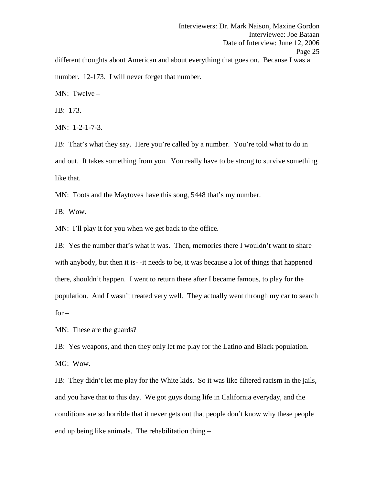Interviewers: Dr. Mark Naison, Maxine Gordon Interviewee: Joe Bataan Date of Interview: June 12, 2006 Page 25 different thoughts about American and about everything that goes on. Because I was a number. 12-173. I will never forget that number.

MN: Twelve –

JB: 173.

MN: 1-2-1-7-3.

JB: That's what they say. Here you're called by a number. You're told what to do in and out. It takes something from you. You really have to be strong to survive something like that.

MN: Toots and the Maytoves have this song, 5448 that's my number.

JB: Wow.

MN: I'll play it for you when we get back to the office.

JB: Yes the number that's what it was. Then, memories there I wouldn't want to share with anybody, but then it is--it needs to be, it was because a lot of things that happened there, shouldn't happen. I went to return there after I became famous, to play for the population. And I wasn't treated very well. They actually went through my car to search  $for -$ 

MN: These are the guards?

JB: Yes weapons, and then they only let me play for the Latino and Black population. MG: Wow.

JB: They didn't let me play for the White kids. So it was like filtered racism in the jails, and you have that to this day. We got guys doing life in California everyday, and the conditions are so horrible that it never gets out that people don't know why these people end up being like animals. The rehabilitation thing –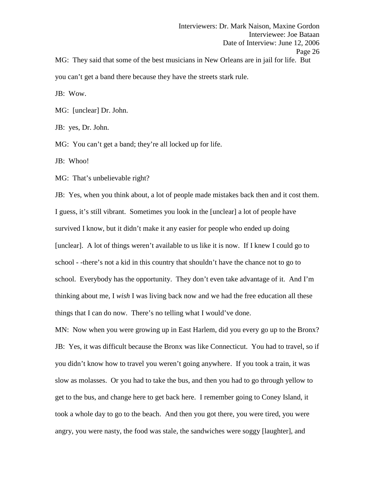Interviewers: Dr. Mark Naison, Maxine Gordon Interviewee: Joe Bataan Date of Interview: June 12, 2006 Page 26 MG: They said that some of the best musicians in New Orleans are in jail for life. But

you can't get a band there because they have the streets stark rule.

JB: Wow.

MG: [unclear] Dr. John.

JB: yes, Dr. John.

MG: You can't get a band; they're all locked up for life.

JB: Whoo!

MG: That's unbelievable right?

JB: Yes, when you think about, a lot of people made mistakes back then and it cost them. I guess, it's still vibrant. Sometimes you look in the [unclear] a lot of people have survived I know, but it didn't make it any easier for people who ended up doing [unclear]. A lot of things weren't available to us like it is now. If I knew I could go to school - -there's not a kid in this country that shouldn't have the chance not to go to school. Everybody has the opportunity. They don't even take advantage of it. And I'm thinking about me, I *wish* I was living back now and we had the free education all these things that I can do now. There's no telling what I would've done.

MN: Now when you were growing up in East Harlem, did you every go up to the Bronx? JB: Yes, it was difficult because the Bronx was like Connecticut. You had to travel, so if you didn't know how to travel you weren't going anywhere. If you took a train, it was slow as molasses. Or you had to take the bus, and then you had to go through yellow to get to the bus, and change here to get back here. I remember going to Coney Island, it took a whole day to go to the beach. And then you got there, you were tired, you were angry, you were nasty, the food was stale, the sandwiches were soggy [laughter], and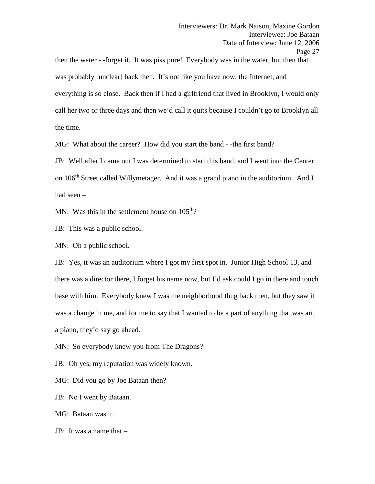then the water - -forget it. It was piss pure! Everybody was in the water, but then that was probably [unclear] back then. It's not like you have now, the Internet, and everything is so close. Back then if I had a girlfriend that lived in Brooklyn, I would only call her two or three days and then we'd call it quits because I couldn't go to Brooklyn all the time.

MG: What about the career? How did you start the band - -the first band?

JB: Well after I came out I was determined to start this band, and I went into the Center on 106<sup>th</sup> Street called Willymetager. And it was a grand piano in the auditorium. And I had seen –

MN: Was this in the settlement house on  $105<sup>th</sup>$ ?

JB: This was a public school.

MN: Oh a public school.

JB: Yes, it was an auditorium where I got my first spot in. Junior High School 13, and there was a director there, I forget his name now, but I'd ask could I go in there and touch base with him. Everybody knew I was the neighborhood thug back then, but they saw it was a change in me, and for me to say that I wanted to be a part of anything that was art, a piano, they'd say go ahead.

MN: So everybody knew you from The Dragons?

JB: Oh yes, my reputation was widely known.

MG: Did you go by Joe Bataan then?

JB: No I went by Bataan.

MG: Bataan was it.

JB: It was a name that –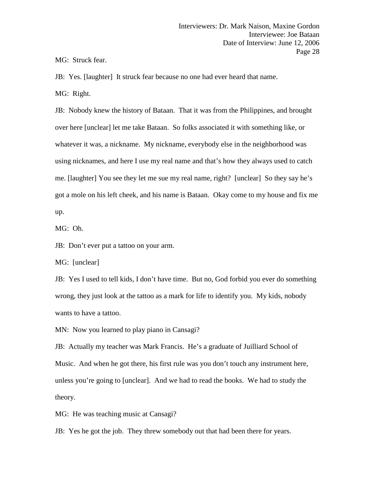MG: Struck fear.

JB: Yes. [laughter] It struck fear because no one had ever heard that name.

MG: Right.

JB: Nobody knew the history of Bataan. That it was from the Philippines, and brought over here [unclear] let me take Bataan. So folks associated it with something like, or whatever it was, a nickname. My nickname, everybody else in the neighborhood was using nicknames, and here I use my real name and that's how they always used to catch me. [laughter] You see they let me sue my real name, right? [unclear] So they say he's got a mole on his left cheek, and his name is Bataan. Okay come to my house and fix me up.

MG: Oh.

JB: Don't ever put a tattoo on your arm.

MG: [unclear]

JB: Yes I used to tell kids, I don't have time. But no, God forbid you ever do something wrong, they just look at the tattoo as a mark for life to identify you. My kids, nobody wants to have a tattoo.

MN: Now you learned to play piano in Cansagi?

JB: Actually my teacher was Mark Francis. He's a graduate of Juilliard School of Music. And when he got there, his first rule was you don't touch any instrument here, unless you're going to [unclear]. And we had to read the books. We had to study the theory.

MG: He was teaching music at Cansagi?

JB: Yes he got the job. They threw somebody out that had been there for years.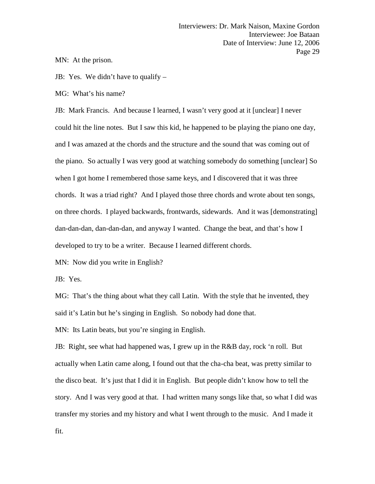MN: At the prison.

JB: Yes. We didn't have to qualify –

MG: What's his name?

JB: Mark Francis. And because I learned, I wasn't very good at it [unclear] I never could hit the line notes. But I saw this kid, he happened to be playing the piano one day, and I was amazed at the chords and the structure and the sound that was coming out of the piano. So actually I was very good at watching somebody do something [unclear] So when I got home I remembered those same keys, and I discovered that it was three chords. It was a triad right? And I played those three chords and wrote about ten songs, on three chords. I played backwards, frontwards, sidewards. And it was [demonstrating] dan-dan-dan, dan-dan-dan, and anyway I wanted. Change the beat, and that's how I developed to try to be a writer. Because I learned different chords.

MN: Now did you write in English?

JB: Yes.

MG: That's the thing about what they call Latin. With the style that he invented, they said it's Latin but he's singing in English. So nobody had done that.

MN: Its Latin beats, but you're singing in English.

JB: Right, see what had happened was, I grew up in the R&B day, rock 'n roll. But actually when Latin came along, I found out that the cha-cha beat, was pretty similar to the disco beat. It's just that I did it in English. But people didn't know how to tell the story. And I was very good at that. I had written many songs like that, so what I did was transfer my stories and my history and what I went through to the music. And I made it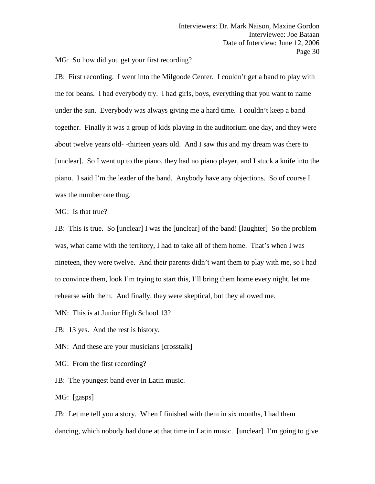MG: So how did you get your first recording?

JB: First recording. I went into the Milgoode Center. I couldn't get a band to play with me for beans. I had everybody try. I had girls, boys, everything that you want to name under the sun. Everybody was always giving me a hard time. I couldn't keep a band together. Finally it was a group of kids playing in the auditorium one day, and they were about twelve years old- -thirteen years old. And I saw this and my dream was there to [unclear]. So I went up to the piano, they had no piano player, and I stuck a knife into the piano. I said I'm the leader of the band. Anybody have any objections. So of course I was the number one thug.

MG: Is that true?

JB: This is true. So [unclear] I was the [unclear] of the band! [laughter] So the problem was, what came with the territory, I had to take all of them home. That's when I was nineteen, they were twelve. And their parents didn't want them to play with me, so I had to convince them, look I'm trying to start this, I'll bring them home every night, let me rehearse with them. And finally, they were skeptical, but they allowed me.

MN: This is at Junior High School 13?

JB: 13 yes. And the rest is history.

MN: And these are your musicians [crosstalk]

MG: From the first recording?

JB: The youngest band ever in Latin music.

MG: [gasps]

JB: Let me tell you a story. When I finished with them in six months, I had them dancing, which nobody had done at that time in Latin music. [unclear] I'm going to give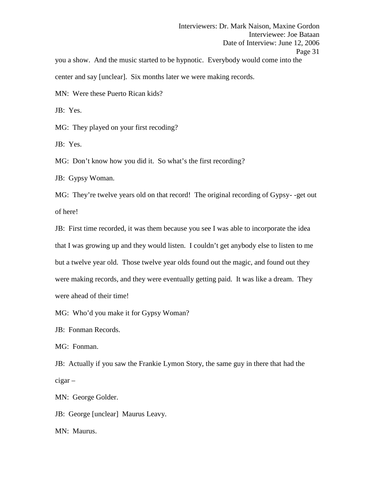Interviewers: Dr. Mark Naison, Maxine Gordon Interviewee: Joe Bataan Date of Interview: June 12, 2006 Page 31 you a show. And the music started to be hypnotic. Everybody would come into the center and say [unclear]. Six months later we were making records.

MN: Were these Puerto Rican kids?

JB: Yes.

MG: They played on your first recoding?

JB: Yes.

MG: Don't know how you did it. So what's the first recording?

JB: Gypsy Woman.

MG: They're twelve years old on that record! The original recording of Gypsy- -get out of here!

JB: First time recorded, it was them because you see I was able to incorporate the idea that I was growing up and they would listen. I couldn't get anybody else to listen to me but a twelve year old. Those twelve year olds found out the magic, and found out they were making records, and they were eventually getting paid. It was like a dream. They were ahead of their time!

MG: Who'd you make it for Gypsy Woman?

JB: Fonman Records.

MG: Fonman.

JB: Actually if you saw the Frankie Lymon Story, the same guy in there that had the cigar –

MN: George Golder.

JB: George [unclear] Maurus Leavy.

MN: Maurus.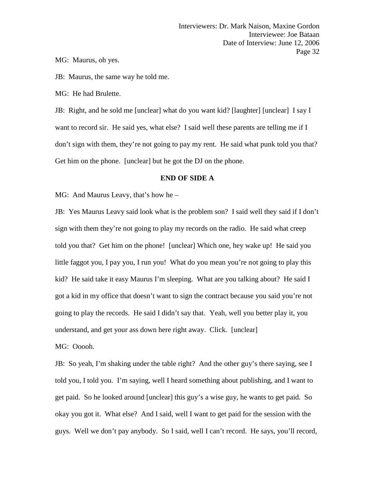MG: Maurus, oh yes.

JB: Maurus, the same way he told me.

MG: He had Brulette.

JB: Right, and he sold me [unclear] what do you want kid? [laughter] [unclear] I say I want to record sir. He said yes, what else? I said well these parents are telling me if I don't sign with them, they're not going to pay my rent. He said what punk told you that? Get him on the phone. [unclear] but he got the DJ on the phone.

# **END OF SIDE A**

MG: And Maurus Leavy, that's how he –

JB: Yes Maurus Leavy said look what is the problem son? I said well they said if I don't sign with them they're not going to play my records on the radio. He said what creep told you that? Get him on the phone! [unclear] Which one, hey wake up! He said you little faggot you, I pay you, I run you! What do you mean you're not going to play this kid? He said take it easy Maurus I'm sleeping. What are you talking about? He said I got a kid in my office that doesn't want to sign the contract because you said you're not going to play the records. He said I didn't say that. Yeah, well you better play it, you understand, and get your ass down here right away. Click. [unclear]

MG: Ooooh.

JB: So yeah, I'm shaking under the table right? And the other guy's there saying, see I told you, I told you. I'm saying, well I heard something about publishing, and I want to get paid. So he looked around [unclear] this guy's a wise guy, he wants to get paid. So okay you got it. What else? And I said, well I want to get paid for the session with the guys. Well we don't pay anybody. So I said, well I can't record. He says, you'll record,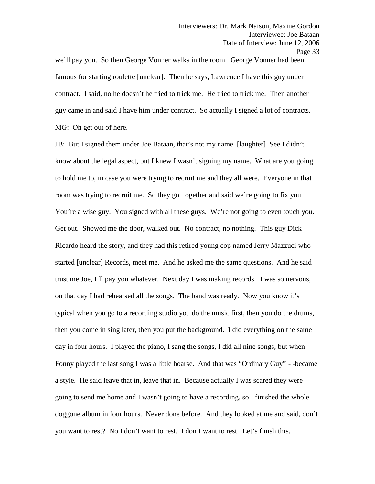we'll pay you. So then George Vonner walks in the room. George Vonner had been famous for starting roulette [unclear]. Then he says, Lawrence I have this guy under contract. I said, no he doesn't he tried to trick me. He tried to trick me. Then another guy came in and said I have him under contract. So actually I signed a lot of contracts. MG: Oh get out of here.

JB: But I signed them under Joe Bataan, that's not my name. [laughter] See I didn't know about the legal aspect, but I knew I wasn't signing my name. What are you going to hold me to, in case you were trying to recruit me and they all were. Everyone in that room was trying to recruit me. So they got together and said we're going to fix you. You're a wise guy. You signed with all these guys. We're not going to even touch you. Get out. Showed me the door, walked out. No contract, no nothing. This guy Dick Ricardo heard the story, and they had this retired young cop named Jerry Mazzuci who started [unclear] Records, meet me. And he asked me the same questions. And he said trust me Joe, I'll pay you whatever. Next day I was making records. I was so nervous, on that day I had rehearsed all the songs. The band was ready. Now you know it's typical when you go to a recording studio you do the music first, then you do the drums, then you come in sing later, then you put the background. I did everything on the same day in four hours. I played the piano, I sang the songs, I did all nine songs, but when Fonny played the last song I was a little hoarse. And that was "Ordinary Guy" - -became a style. He said leave that in, leave that in. Because actually I was scared they were going to send me home and I wasn't going to have a recording, so I finished the whole doggone album in four hours. Never done before. And they looked at me and said, don't you want to rest? No I don't want to rest. I don't want to rest. Let's finish this.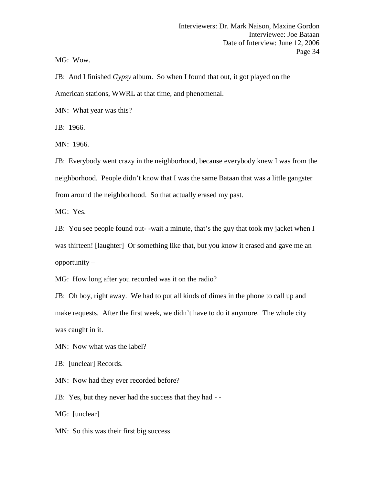MG: Wow.

JB: And I finished *Gypsy* album. So when I found that out, it got played on the American stations, WWRL at that time, and phenomenal.

MN: What year was this?

JB: 1966.

MN: 1966.

JB: Everybody went crazy in the neighborhood, because everybody knew I was from the neighborhood. People didn't know that I was the same Bataan that was a little gangster from around the neighborhood. So that actually erased my past.

MG: Yes.

JB: You see people found out- -wait a minute, that's the guy that took my jacket when I was thirteen! [laughter] Or something like that, but you know it erased and gave me an opportunity –

MG: How long after you recorded was it on the radio?

JB: Oh boy, right away. We had to put all kinds of dimes in the phone to call up and make requests. After the first week, we didn't have to do it anymore. The whole city was caught in it.

MN: Now what was the label?

JB: [unclear] Records.

MN: Now had they ever recorded before?

JB: Yes, but they never had the success that they had  $-$ -MG: [unclear]

MN: So this was their first big success.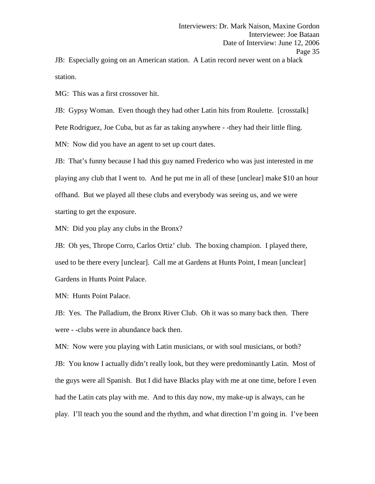JB: Especially going on an American station. A Latin record never went on a black station.

MG: This was a first crossover hit.

JB: Gypsy Woman. Even though they had other Latin hits from Roulette. [crosstalk] Pete Rodriguez, Joe Cuba, but as far as taking anywhere - -they had their little fling. MN: Now did you have an agent to set up court dates.

JB: That's funny because I had this guy named Frederico who was just interested in me playing any club that I went to. And he put me in all of these [unclear] make \$10 an hour offhand. But we played all these clubs and everybody was seeing us, and we were starting to get the exposure.

MN: Did you play any clubs in the Bronx?

JB: Oh yes, Thrope Corro, Carlos Ortiz' club. The boxing champion. I played there, used to be there every [unclear]. Call me at Gardens at Hunts Point, I mean [unclear] Gardens in Hunts Point Palace.

MN: Hunts Point Palace.

JB: Yes. The Palladium, the Bronx River Club. Oh it was so many back then. There were - -clubs were in abundance back then.

MN: Now were you playing with Latin musicians, or with soul musicians, or both? JB: You know I actually didn't really look, but they were predominantly Latin. Most of the guys were all Spanish. But I did have Blacks play with me at one time, before I even had the Latin cats play with me. And to this day now, my make-up is always, can he play. I'll teach you the sound and the rhythm, and what direction I'm going in. I've been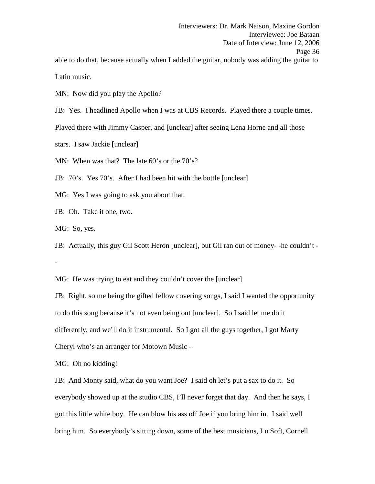Latin music.

MN: Now did you play the Apollo?

JB: Yes. I headlined Apollo when I was at CBS Records. Played there a couple times.

Played there with Jimmy Casper, and [unclear] after seeing Lena Horne and all those

stars. I saw Jackie [unclear]

MN: When was that? The late 60's or the 70's?

JB: 70's. Yes 70's. After I had been hit with the bottle [unclear]

MG: Yes I was going to ask you about that.

JB: Oh. Take it one, two.

MG: So, yes.

JB: Actually, this guy Gil Scott Heron [unclear], but Gil ran out of money- -he couldn't - -

MG: He was trying to eat and they couldn't cover the [unclear]

JB: Right, so me being the gifted fellow covering songs, I said I wanted the opportunity to do this song because it's not even being out [unclear]. So I said let me do it differently, and we'll do it instrumental. So I got all the guys together, I got Marty Cheryl who's an arranger for Motown Music –

MG: Oh no kidding!

JB: And Monty said, what do you want Joe? I said oh let's put a sax to do it. So everybody showed up at the studio CBS, I'll never forget that day. And then he says, I got this little white boy. He can blow his ass off Joe if you bring him in. I said well bring him. So everybody's sitting down, some of the best musicians, Lu Soft, Cornell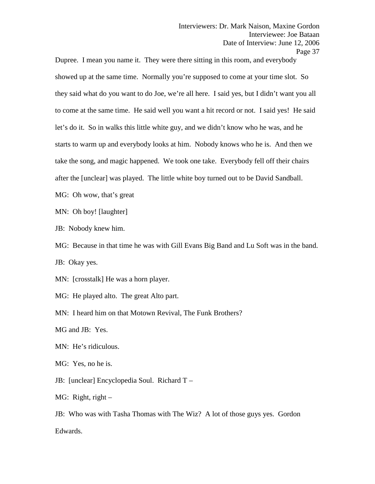Dupree. I mean you name it. They were there sitting in this room, and everybody showed up at the same time. Normally you're supposed to come at your time slot. So they said what do you want to do Joe, we're all here. I said yes, but I didn't want you all to come at the same time. He said well you want a hit record or not. I said yes! He said let's do it. So in walks this little white guy, and we didn't know who he was, and he starts to warm up and everybody looks at him. Nobody knows who he is. And then we take the song, and magic happened. We took one take. Everybody fell off their chairs after the [unclear] was played. The little white boy turned out to be David Sandball.

MG: Oh wow, that's great

MN: Oh boy! [laughter]

JB: Nobody knew him.

MG: Because in that time he was with Gill Evans Big Band and Lu Soft was in the band.

JB: Okay yes.

MN: [crosstalk] He was a horn player.

MG: He played alto. The great Alto part.

MN: I heard him on that Motown Revival, The Funk Brothers?

MG and JB: Yes.

MN: He's ridiculous.

MG: Yes, no he is.

JB: [unclear] Encyclopedia Soul. Richard T –

MG: Right, right  $-$ 

JB: Who was with Tasha Thomas with The Wiz? A lot of those guys yes. Gordon Edwards.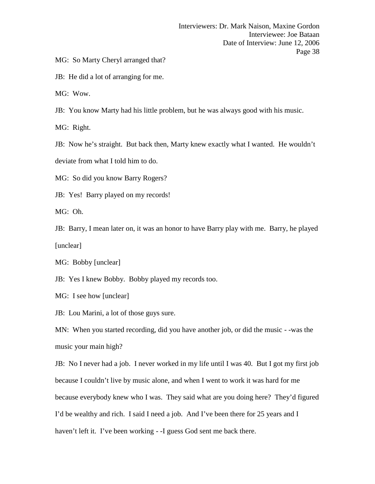MG: So Marty Cheryl arranged that?

JB: He did a lot of arranging for me.

MG: Wow.

JB: You know Marty had his little problem, but he was always good with his music.

MG: Right.

JB: Now he's straight. But back then, Marty knew exactly what I wanted. He wouldn't

deviate from what I told him to do.

MG: So did you know Barry Rogers?

JB: Yes! Barry played on my records!

MG: Oh.

JB: Barry, I mean later on, it was an honor to have Barry play with me. Barry, he played [unclear]

MG: Bobby [unclear]

JB: Yes I knew Bobby. Bobby played my records too.

MG: I see how [unclear]

JB: Lou Marini, a lot of those guys sure.

MN: When you started recording, did you have another job, or did the music - -was the music your main high?

JB: No I never had a job. I never worked in my life until I was 40. But I got my first job because I couldn't live by music alone, and when I went to work it was hard for me because everybody knew who I was. They said what are you doing here? They'd figured I'd be wealthy and rich. I said I need a job. And I've been there for 25 years and I haven't left it. I've been working - -I guess God sent me back there.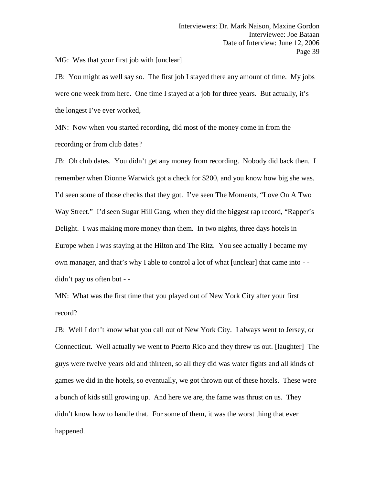MG: Was that your first job with [unclear]

JB: You might as well say so. The first job I stayed there any amount of time. My jobs were one week from here. One time I stayed at a job for three years. But actually, it's the longest I've ever worked,

MN: Now when you started recording, did most of the money come in from the recording or from club dates?

JB: Oh club dates. You didn't get any money from recording. Nobody did back then. I remember when Dionne Warwick got a check for \$200, and you know how big she was. I'd seen some of those checks that they got. I've seen The Moments, "Love On A Two Way Street." I'd seen Sugar Hill Gang, when they did the biggest rap record, "Rapper's Delight. I was making more money than them. In two nights, three days hotels in Europe when I was staying at the Hilton and The Ritz. You see actually I became my own manager, and that's why I able to control a lot of what [unclear] that came into - didn't pay us often but - -

MN: What was the first time that you played out of New York City after your first record?

JB: Well I don't know what you call out of New York City. I always went to Jersey, or Connecticut. Well actually we went to Puerto Rico and they threw us out. [laughter] The guys were twelve years old and thirteen, so all they did was water fights and all kinds of games we did in the hotels, so eventually, we got thrown out of these hotels. These were a bunch of kids still growing up. And here we are, the fame was thrust on us. They didn't know how to handle that. For some of them, it was the worst thing that ever happened.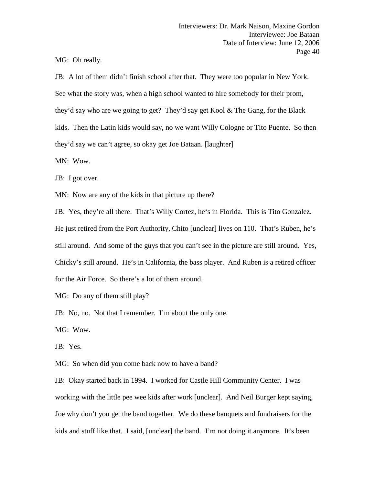MG: Oh really.

JB: A lot of them didn't finish school after that. They were too popular in New York. See what the story was, when a high school wanted to hire somebody for their prom, they'd say who are we going to get? They'd say get Kool & The Gang, for the Black kids. Then the Latin kids would say, no we want Willy Cologne or Tito Puente. So then they'd say we can't agree, so okay get Joe Bataan. [laughter]

MN: Wow.

JB: I got over.

MN: Now are any of the kids in that picture up there?

JB: Yes, they're all there. That's Willy Cortez, he's in Florida. This is Tito Gonzalez.

He just retired from the Port Authority, Chito [unclear] lives on 110. That's Ruben, he's still around. And some of the guys that you can't see in the picture are still around. Yes, Chicky's still around. He's in California, the bass player. And Ruben is a retired officer for the Air Force. So there's a lot of them around.

MG: Do any of them still play?

JB: No, no. Not that I remember. I'm about the only one.

MG: Wow.

JB: Yes.

MG: So when did you come back now to have a band?

JB: Okay started back in 1994. I worked for Castle Hill Community Center. I was working with the little pee wee kids after work [unclear]. And Neil Burger kept saying, Joe why don't you get the band together. We do these banquets and fundraisers for the kids and stuff like that. I said, [unclear] the band. I'm not doing it anymore. It's been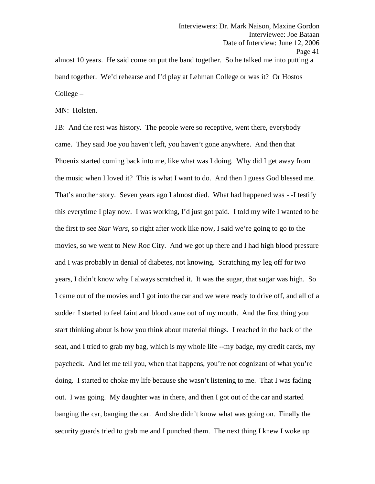Interviewers: Dr. Mark Naison, Maxine Gordon Interviewee: Joe Bataan Date of Interview: June 12, 2006 Page 41 almost 10 years. He said come on put the band together. So he talked me into putting a

band together. We'd rehearse and I'd play at Lehman College or was it? Or Hostos College –

MN: Holsten.

JB: And the rest was history. The people were so receptive, went there, everybody came. They said Joe you haven't left, you haven't gone anywhere. And then that Phoenix started coming back into me, like what was I doing. Why did I get away from the music when I loved it? This is what I want to do. And then I guess God blessed me. That's another story. Seven years ago I almost died. What had happened was - -I testify this everytime I play now. I was working, I'd just got paid. I told my wife I wanted to be the first to see *Star Wars*, so right after work like now, I said we're going to go to the movies, so we went to New Roc City. And we got up there and I had high blood pressure and I was probably in denial of diabetes, not knowing. Scratching my leg off for two years, I didn't know why I always scratched it. It was the sugar, that sugar was high. So I came out of the movies and I got into the car and we were ready to drive off, and all of a sudden I started to feel faint and blood came out of my mouth. And the first thing you start thinking about is how you think about material things. I reached in the back of the seat, and I tried to grab my bag, which is my whole life --my badge, my credit cards, my paycheck. And let me tell you, when that happens, you're not cognizant of what you're doing. I started to choke my life because she wasn't listening to me. That I was fading out. I was going. My daughter was in there, and then I got out of the car and started banging the car, banging the car. And she didn't know what was going on. Finally the security guards tried to grab me and I punched them. The next thing I knew I woke up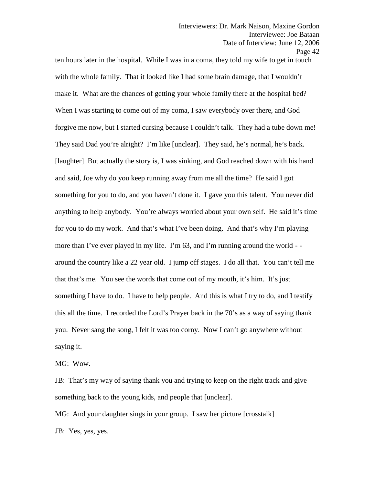ten hours later in the hospital. While I was in a coma, they told my wife to get in touch with the whole family. That it looked like I had some brain damage, that I wouldn't make it. What are the chances of getting your whole family there at the hospital bed? When I was starting to come out of my coma, I saw everybody over there, and God forgive me now, but I started cursing because I couldn't talk. They had a tube down me! They said Dad you're alright? I'm like [unclear]. They said, he's normal, he's back. [laughter] But actually the story is, I was sinking, and God reached down with his hand and said, Joe why do you keep running away from me all the time? He said I got something for you to do, and you haven't done it. I gave you this talent. You never did anything to help anybody. You're always worried about your own self. He said it's time for you to do my work. And that's what I've been doing. And that's why I'm playing more than I've ever played in my life. I'm 63, and I'm running around the world - around the country like a 22 year old. I jump off stages. I do all that. You can't tell me that that's me. You see the words that come out of my mouth, it's him. It's just something I have to do. I have to help people. And this is what I try to do, and I testify this all the time. I recorded the Lord's Prayer back in the 70's as a way of saying thank you. Never sang the song, I felt it was too corny. Now I can't go anywhere without saying it.

MG: Wow.

JB: That's my way of saying thank you and trying to keep on the right track and give something back to the young kids, and people that [unclear].

MG: And your daughter sings in your group. I saw her picture [crosstalk] JB: Yes, yes, yes.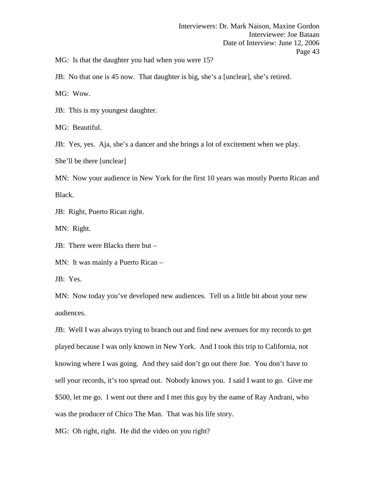MG: Is that the daughter you had when you were 15?

JB: No that one is 45 now. That daughter is big, she's a [unclear], she's retired.

MG: Wow.

JB: This is my youngest daughter.

MG: Beautiful.

JB: Yes, yes. Aja, she's a dancer and she brings a lot of excitement when we play.

She'll be there [unclear]

MN: Now your audience in New York for the first 10 years was mostly Puerto Rican and Black.

JB: Right, Puerto Rican right.

MN: Right.

JB: There were Blacks there but –

MN: It was mainly a Puerto Rican –

JB: Yes.

MN: Now today you've developed new audiences. Tell us a little bit about your new audiences.

JB: Well I was always trying to branch out and find new avenues for my records to get played because I was only known in New York. And I took this trip to California, not knowing where I was going. And they said don't go out there Joe. You don't have to sell your records, it's too spread out. Nobody knows you. I said I want to go. Give me \$500, let me go. I went out there and I met this guy by the name of Ray Andrani, who was the producer of Chico The Man. That was his life story.

MG: Oh right, right. He did the video on you right?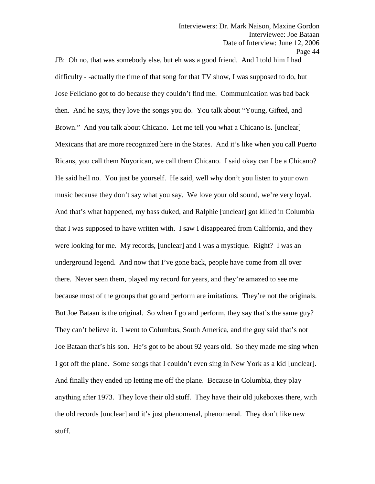JB: Oh no, that was somebody else, but eh was a good friend. And I told him I had difficulty - -actually the time of that song for that TV show, I was supposed to do, but Jose Feliciano got to do because they couldn't find me. Communication was bad back then. And he says, they love the songs you do. You talk about "Young, Gifted, and Brown." And you talk about Chicano. Let me tell you what a Chicano is. [unclear] Mexicans that are more recognized here in the States. And it's like when you call Puerto Ricans, you call them Nuyorican, we call them Chicano. I said okay can I be a Chicano? He said hell no. You just be yourself. He said, well why don't you listen to your own music because they don't say what you say. We love your old sound, we're very loyal. And that's what happened, my bass duked, and Ralphie [unclear] got killed in Columbia that I was supposed to have written with. I saw I disappeared from California, and they were looking for me. My records, [unclear] and I was a mystique. Right? I was an underground legend. And now that I've gone back, people have come from all over there. Never seen them, played my record for years, and they're amazed to see me because most of the groups that go and perform are imitations. They're not the originals. But Joe Bataan is the original. So when I go and perform, they say that's the same guy? They can't believe it. I went to Columbus, South America, and the guy said that's not Joe Bataan that's his son. He's got to be about 92 years old. So they made me sing when I got off the plane. Some songs that I couldn't even sing in New York as a kid [unclear]. And finally they ended up letting me off the plane. Because in Columbia, they play anything after 1973. They love their old stuff. They have their old jukeboxes there, with the old records [unclear] and it's just phenomenal, phenomenal. They don't like new stuff.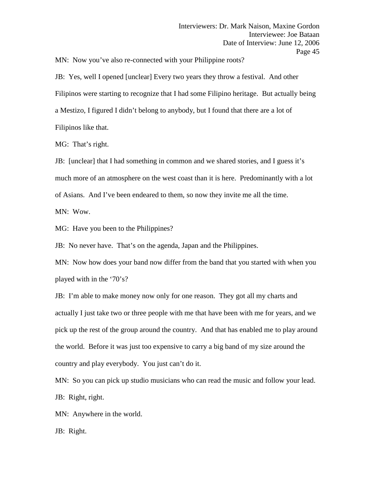MN: Now you've also re-connected with your Philippine roots?

JB: Yes, well I opened [unclear] Every two years they throw a festival. And other Filipinos were starting to recognize that I had some Filipino heritage. But actually being a Mestizo, I figured I didn't belong to anybody, but I found that there are a lot of Filipinos like that.

MG: That's right.

JB: [unclear] that I had something in common and we shared stories, and I guess it's much more of an atmosphere on the west coast than it is here. Predominantly with a lot of Asians. And I've been endeared to them, so now they invite me all the time.

MN: Wow.

MG: Have you been to the Philippines?

JB: No never have. That's on the agenda, Japan and the Philippines.

MN: Now how does your band now differ from the band that you started with when you played with in the '70's?

JB: I'm able to make money now only for one reason. They got all my charts and actually I just take two or three people with me that have been with me for years, and we pick up the rest of the group around the country. And that has enabled me to play around the world. Before it was just too expensive to carry a big band of my size around the country and play everybody. You just can't do it.

MN: So you can pick up studio musicians who can read the music and follow your lead. JB: Right, right.

MN: Anywhere in the world.

JB: Right.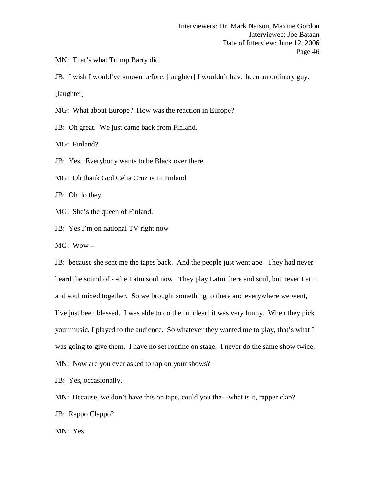MN: That's what Trump Barry did.

JB: I wish I would've known before. [laughter] I wouldn't have been an ordinary guy. [laughter]

MG: What about Europe? How was the reaction in Europe?

JB: Oh great. We just came back from Finland.

MG: Finland?

JB: Yes. Everybody wants to be Black over there.

MG: Oh thank God Celia Cruz is in Finland.

JB: Oh do they.

MG: She's the queen of Finland.

JB: Yes I'm on national TV right now –

MG: Wow –

JB: because she sent me the tapes back. And the people just went ape. They had never heard the sound of - -the Latin soul now. They play Latin there and soul, but never Latin and soul mixed together. So we brought something to there and everywhere we went, I've just been blessed. I was able to do the [unclear] it was very funny. When they pick your music, I played to the audience. So whatever they wanted me to play, that's what I was going to give them. I have no set routine on stage. I never do the same show twice. MN: Now are you ever asked to rap on your shows?

JB: Yes, occasionally,

MN: Because, we don't have this on tape, could you the--what is it, rapper clap?

JB: Rappo Clappo?

MN: Yes.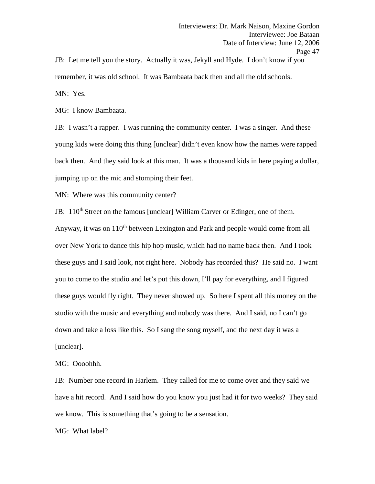Interviewers: Dr. Mark Naison, Maxine Gordon Interviewee: Joe Bataan Date of Interview: June 12, 2006 Page 47 JB: Let me tell you the story. Actually it was, Jekyll and Hyde. I don't know if you

remember, it was old school. It was Bambaata back then and all the old schools.

MN: Yes.

MG: I know Bambaata.

JB: I wasn't a rapper. I was running the community center. I was a singer. And these young kids were doing this thing [unclear] didn't even know how the names were rapped back then. And they said look at this man. It was a thousand kids in here paying a dollar, jumping up on the mic and stomping their feet.

MN: Where was this community center?

JB: 110<sup>th</sup> Street on the famous [unclear] William Carver or Edinger, one of them.

Anyway, it was on  $110<sup>th</sup>$  between Lexington and Park and people would come from all over New York to dance this hip hop music, which had no name back then. And I took these guys and I said look, not right here. Nobody has recorded this? He said no. I want you to come to the studio and let's put this down, I'll pay for everything, and I figured these guys would fly right. They never showed up. So here I spent all this money on the studio with the music and everything and nobody was there. And I said, no I can't go down and take a loss like this. So I sang the song myself, and the next day it was a [unclear].

MG: Oooohhh.

JB: Number one record in Harlem. They called for me to come over and they said we have a hit record. And I said how do you know you just had it for two weeks? They said we know. This is something that's going to be a sensation.

MG: What label?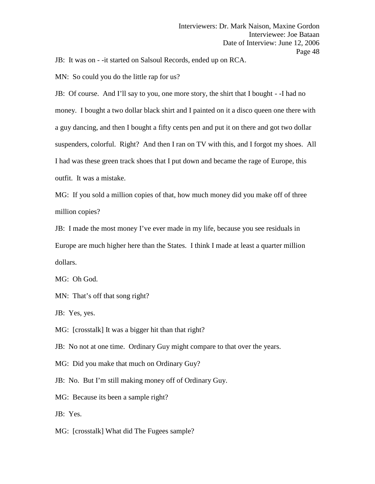JB: It was on - -it started on Salsoul Records, ended up on RCA.

MN: So could you do the little rap for us?

JB: Of course. And I'll say to you, one more story, the shirt that I bought - -I had no money. I bought a two dollar black shirt and I painted on it a disco queen one there with a guy dancing, and then I bought a fifty cents pen and put it on there and got two dollar suspenders, colorful. Right? And then I ran on TV with this, and I forgot my shoes. All I had was these green track shoes that I put down and became the rage of Europe, this outfit. It was a mistake.

MG: If you sold a million copies of that, how much money did you make off of three million copies?

JB: I made the most money I've ever made in my life, because you see residuals in Europe are much higher here than the States. I think I made at least a quarter million dollars.

MG: Oh God.

MN: That's off that song right?

JB: Yes, yes.

MG: [crosstalk] It was a bigger hit than that right?

JB: No not at one time. Ordinary Guy might compare to that over the years.

MG: Did you make that much on Ordinary Guy?

JB: No. But I'm still making money off of Ordinary Guy.

MG: Because its been a sample right?

JB: Yes.

MG: [crosstalk] What did The Fugees sample?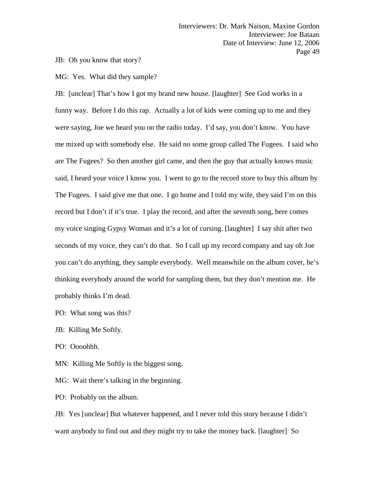JB: Oh you know that story?

MG: Yes. What did they sample?

JB: [unclear] That's how I got my brand new house. [laughter] See God works in a funny way. Before I do this rap. Actually a lot of kids were coming up to me and they were saying, Joe we heard you on the radio today. I'd say, you don't know. You have me mixed up with somebody else. He said no some group called The Fugees. I said who are The Fugees? So then another girl came, and then the guy that actually knows music said, I heard your voice I know you. I went to go to the record store to buy this album by The Fugees. I said give me that one. I go home and I told my wife, they said I'm on this record but I don't if it's true. I play the record, and after the seventh song, here comes my voice singing Gypsy Woman and it's a lot of cursing. [laughter] I say shit after two seconds of my voice, they can't do that. So I call up my record company and say oh Joe you can't do anything, they sample everybody. Well meanwhile on the album cover, he's thinking everybody around the world for sampling them, but they don't mention me. He probably thinks I'm dead.

PO: What song was this?

JB: Killing Me Softly.

PO: Oooohhh.

MN: Killing Me Softly is the biggest song.

MG: Wait there's talking in the beginning.

PO: Probably on the album.

JB: Yes [unclear] But whatever happened, and I never told this story because I didn't want anybody to find out and they might try to take the money back. [laughter] So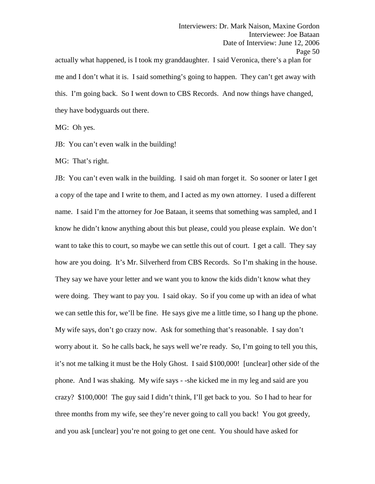actually what happened, is I took my granddaughter. I said Veronica, there's a plan for me and I don't what it is. I said something's going to happen. They can't get away with this. I'm going back. So I went down to CBS Records. And now things have changed, they have bodyguards out there.

MG: Oh yes.

JB: You can't even walk in the building!

MG: That's right.

JB: You can't even walk in the building. I said oh man forget it. So sooner or later I get a copy of the tape and I write to them, and I acted as my own attorney. I used a different name. I said I'm the attorney for Joe Bataan, it seems that something was sampled, and I know he didn't know anything about this but please, could you please explain. We don't want to take this to court, so maybe we can settle this out of court. I get a call. They say how are you doing. It's Mr. Silverherd from CBS Records. So I'm shaking in the house. They say we have your letter and we want you to know the kids didn't know what they were doing. They want to pay you. I said okay. So if you come up with an idea of what we can settle this for, we'll be fine. He says give me a little time, so I hang up the phone. My wife says, don't go crazy now. Ask for something that's reasonable. I say don't worry about it. So he calls back, he says well we're ready. So, I'm going to tell you this, it's not me talking it must be the Holy Ghost. I said \$100,000! [unclear] other side of the phone. And I was shaking. My wife says - -she kicked me in my leg and said are you crazy? \$100,000! The guy said I didn't think, I'll get back to you. So I had to hear for three months from my wife, see they're never going to call you back! You got greedy, and you ask [unclear] you're not going to get one cent. You should have asked for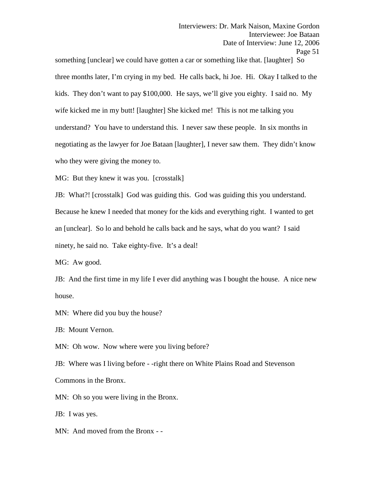something [unclear] we could have gotten a car or something like that. [laughter] So three months later, I'm crying in my bed. He calls back, hi Joe. Hi. Okay I talked to the kids. They don't want to pay \$100,000. He says, we'll give you eighty. I said no. My wife kicked me in my butt! [laughter] She kicked me! This is not me talking you understand? You have to understand this. I never saw these people. In six months in negotiating as the lawyer for Joe Bataan [laughter], I never saw them. They didn't know who they were giving the money to.

MG: But they knew it was you. [crosstalk]

JB: What?! [crosstalk] God was guiding this. God was guiding this you understand. Because he knew I needed that money for the kids and everything right. I wanted to get an [unclear]. So lo and behold he calls back and he says, what do you want? I said ninety, he said no. Take eighty-five. It's a deal!

MG: Aw good.

JB: And the first time in my life I ever did anything was I bought the house. A nice new house.

MN: Where did you buy the house?

JB: Mount Vernon.

MN: Oh wow. Now where were you living before?

JB: Where was I living before - -right there on White Plains Road and Stevenson Commons in the Bronx.

MN: Oh so you were living in the Bronx.

JB: I was yes.

MN: And moved from the Bronx - -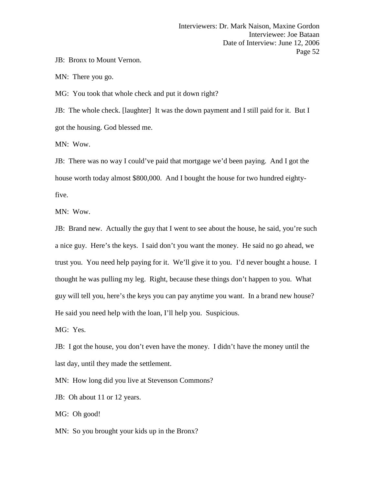JB: Bronx to Mount Vernon.

MN: There you go.

MG: You took that whole check and put it down right?

JB: The whole check. [laughter] It was the down payment and I still paid for it. But I got the housing. God blessed me.

MN: Wow.

JB: There was no way I could've paid that mortgage we'd been paying. And I got the house worth today almost \$800,000. And I bought the house for two hundred eightyfive.

MN: Wow.

JB: Brand new. Actually the guy that I went to see about the house, he said, you're such a nice guy. Here's the keys. I said don't you want the money. He said no go ahead, we trust you. You need help paying for it. We'll give it to you. I'd never bought a house. I thought he was pulling my leg. Right, because these things don't happen to you. What guy will tell you, here's the keys you can pay anytime you want. In a brand new house? He said you need help with the loan, I'll help you. Suspicious.

MG: Yes.

JB: I got the house, you don't even have the money. I didn't have the money until the last day, until they made the settlement.

MN: How long did you live at Stevenson Commons?

JB: Oh about 11 or 12 years.

MG: Oh good!

MN: So you brought your kids up in the Bronx?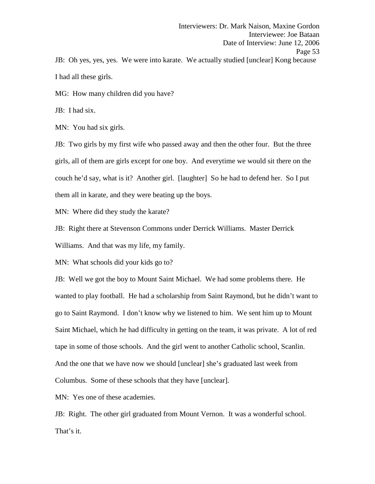Interviewers: Dr. Mark Naison, Maxine Gordon Interviewee: Joe Bataan Date of Interview: June 12, 2006 Page 53 JB: Oh yes, yes, yes. We were into karate. We actually studied [unclear] Kong because I had all these girls.

MG: How many children did you have?

JB: I had six.

MN: You had six girls.

JB: Two girls by my first wife who passed away and then the other four. But the three girls, all of them are girls except for one boy. And everytime we would sit there on the couch he'd say, what is it? Another girl. [laughter] So he had to defend her. So I put them all in karate, and they were beating up the boys.

MN: Where did they study the karate?

JB: Right there at Stevenson Commons under Derrick Williams. Master Derrick Williams. And that was my life, my family.

MN: What schools did your kids go to?

JB: Well we got the boy to Mount Saint Michael. We had some problems there. He wanted to play football. He had a scholarship from Saint Raymond, but he didn't want to go to Saint Raymond. I don't know why we listened to him. We sent him up to Mount Saint Michael, which he had difficulty in getting on the team, it was private. A lot of red tape in some of those schools. And the girl went to another Catholic school, Scanlin. And the one that we have now we should [unclear] she's graduated last week from Columbus. Some of these schools that they have [unclear].

MN: Yes one of these academies.

JB: Right. The other girl graduated from Mount Vernon. It was a wonderful school. That's it.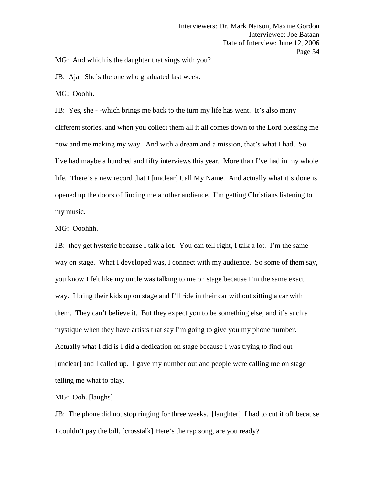MG: And which is the daughter that sings with you?

JB: Aja. She's the one who graduated last week.

MG: Ooohh.

JB: Yes, she - -which brings me back to the turn my life has went. It's also many different stories, and when you collect them all it all comes down to the Lord blessing me now and me making my way. And with a dream and a mission, that's what I had. So I've had maybe a hundred and fifty interviews this year. More than I've had in my whole life. There's a new record that I [unclear] Call My Name. And actually what it's done is opened up the doors of finding me another audience. I'm getting Christians listening to my music.

### MG: Ooohhh.

JB: they get hysteric because I talk a lot. You can tell right, I talk a lot. I'm the same way on stage. What I developed was, I connect with my audience. So some of them say, you know I felt like my uncle was talking to me on stage because I'm the same exact way. I bring their kids up on stage and I'll ride in their car without sitting a car with them. They can't believe it. But they expect you to be something else, and it's such a mystique when they have artists that say I'm going to give you my phone number. Actually what I did is I did a dedication on stage because I was trying to find out [unclear] and I called up. I gave my number out and people were calling me on stage telling me what to play.

# MG: Ooh. [laughs]

JB: The phone did not stop ringing for three weeks. [laughter] I had to cut it off because I couldn't pay the bill. [crosstalk] Here's the rap song, are you ready?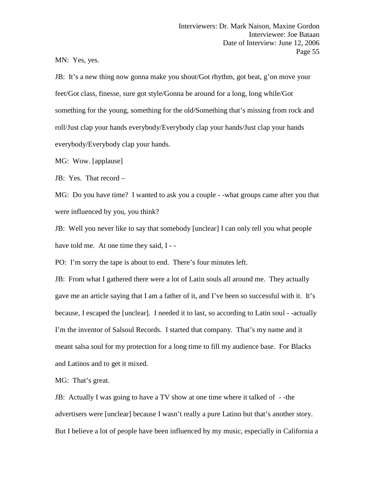MN: Yes, yes.

JB: It's a new thing now gonna make you shout/Got rhythm, got beat, g'on move your feet/Got class, finesse, sure got style/Gonna be around for a long, long while/Got something for the young, something for the old/Something that's missing from rock and roll/Just clap your hands everybody/Everybody clap your hands/Just clap your hands everybody/Everybody clap your hands.

MG: Wow. [applause]

JB: Yes. That record –

MG: Do you have time? I wanted to ask you a couple - -what groups came after you that were influenced by you, you think?

JB: Well you never like to say that somebody [unclear] I can only tell you what people have told me. At one time they said, I - -

PO: I'm sorry the tape is about to end. There's four minutes left.

JB: From what I gathered there were a lot of Latin souls all around me. They actually gave me an article saying that I am a father of it, and I've been so successful with it. It's because, I escaped the [unclear]. I needed it to last, so according to Latin soul - -actually I'm the inventor of Salsoul Records. I started that company. That's my name and it meant salsa soul for my protection for a long time to fill my audience base. For Blacks and Latinos and to get it mixed.

MG: That's great.

JB: Actually I was going to have a TV show at one time where it talked of - -the advertisers were [unclear] because I wasn't really a pure Latino but that's another story. But I believe a lot of people have been influenced by my music, especially in California a